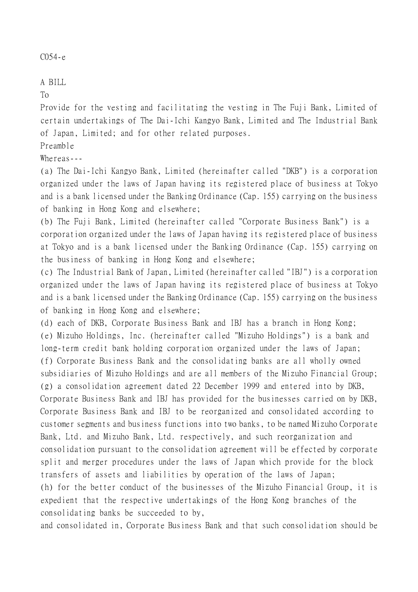### C054-e

# A BILL

### To

Provide for the vesting and facilitating the vesting in The Fuji Bank, Limited of certain undertakings of The Dai-Ichi Kangyo Bank, Limited and The Industrial Bank of Japan, Limited; and for other related purposes.

Preamble

# Whereas---

(a) The Dai-Ichi Kangyo Bank, Limited (hereinafter called "DKB") is a corporation organized under the laws of Japan having its registered place of business at Tokyo and is a bank licensed under the Banking Ordinance (Cap. 155) carrying on the business of banking in Hong Kong and elsewhere;

(b) The Fuji Bank, Limited (hereinafter called "Corporate Business Bank") is a corporation organized under the laws of Japan having its registered place of business at Tokyo and is a bank licensed under the Banking Ordinance (Cap. 155) carrying on the business of banking in Hong Kong and elsewhere;

(c) The Industrial Bank of Japan, Limited (hereinafter called "IBJ") is a corporation organized under the laws of Japan having its registered place of business at Tokyo and is a bank licensed under the Banking Ordinance (Cap. 155) carrying on the business of banking in Hong Kong and elsewhere;

(d) each of DKB, Corporate Business Bank and IBJ has a branch in Hong Kong; (e) Mizuho Holdings, Inc. (hereinafter called "Mizuho Holdings") is a bank and long-term credit bank holding corporation organized under the laws of Japan; (f) Corporate Business Bank and the consolidating banks are all wholly owned subsidiaries of Mizuho Holdings and are all members of the Mizuho Financial Group; (g) a consolidation agreement dated 22 December 1999 and entered into by DKB, Corporate Business Bank and IBJ has provided for the businesses carried on by DKB, Corporate Business Bank and IBJ to be reorganized and consolidated according to customer segments and business functions into two banks, to be named Mizuho Corporate Bank, Ltd. and Mizuho Bank, Ltd. respectively, and such reorganization and consolidation pursuant to the consolidation agreement will be effected by corporate split and merger procedures under the laws of Japan which provide for the block transfers of assets and liabilities by operation of the laws of Japan; (h) for the better conduct of the businesses of the Mizuho Financial Group, it is expedient that the respective undertakings of the Hong Kong branches of the consolidating banks be succeeded to by,

and consolidated in, Corporate Business Bank and that such consolidation should be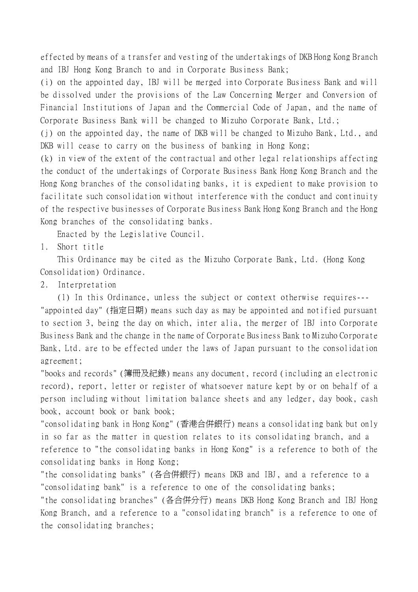effected by means of a transfer and vesting of the undertakings of DKB Hong Kong Branch and IBJ Hong Kong Branch to and in Corporate Business Bank;

(i) on the appointed day, IBJ will be merged into Corporate Business Bank and will be dissolved under the provisions of the Law Concerning Merger and Conversion of Financial Institutions of Japan and the Commercial Code of Japan, and the name of Corporate Business Bank will be changed to Mizuho Corporate Bank, Ltd.;

(j) on the appointed day, the name of DKB will be changed to Mizuho Bank, Ltd., and DKB will cease to carry on the business of banking in Hong Kong;

(k) in view of the extent of the contractual and other legal relationships affecting the conduct of the undertakings of Corporate Business Bank Hong Kong Branch and the Hong Kong branches of the consolidating banks, it is expedient to make provision to facilitate such consolidation without interference with the conduct and continuity of the respective businesses of Corporate Business Bank Hong Kong Branch and the Hong Kong branches of the consolidating banks.

Enacted by the Legislative Council.

1. Short title

This Ordinance may be cited as the Mizuho Corporate Bank, Ltd. (Hong Kong Consolidation) Ordinance.

### 2. Interpretation

(1) In this Ordinance, unless the subject or context otherwise requires--- "appointed day" (指定日期) means such day as may be appointed and notified pursuant to section 3, being the day on which, inter alia, the merger of IBJ into Corporate Business Bank and the change in the name of Corporate Business Bank to Mizuho Corporate Bank, Ltd. are to be effected under the laws of Japan pursuant to the consolidation agreement;

"books and records" (簿冊及紀錄) means any document, record (including an electronic record), report, letter or register of whatsoever nature kept by or on behalf of a person including without limitation balance sheets and any ledger, day book, cash book, account book or bank book;

"consolidating bank in Hong Kong" (香港合併銀行) means a consolidating bank but only in so far as the matter in question relates to its consolidating branch, and a reference to "the consolidating banks in Hong Kong" is a reference to both of the consolidating banks in Hong Kong;

"the consolidating banks" (各合併銀行) means DKB and IBJ, and a reference to a "consolidating bank" is a reference to one of the consolidating banks;

"the consolidating branches" (各合併分行) means DKB Hong Kong Branch and IBJ Hong Kong Branch, and a reference to a "consolidating branch" is a reference to one of the consolidating branches;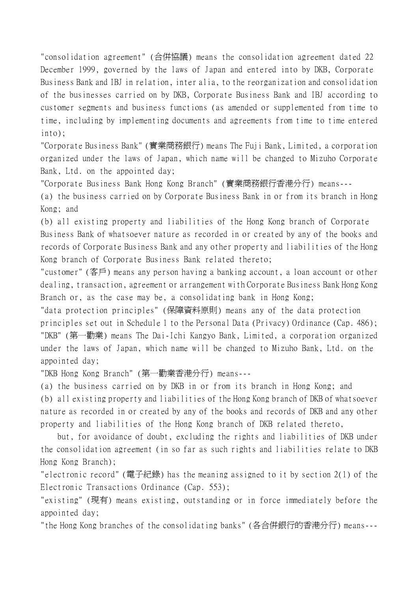"consolidation agreement" (合併協議) means the consolidation agreement dated 22 December 1999, governed by the laws of Japan and entered into by DKB, Corporate Business Bank and IBJ in relation, inter alia, to the reorganization and consolidation of the businesses carried on by DKB, Corporate Business Bank and IBJ according to customer segments and business functions (as amended or supplemented from time to time, including by implementing documents and agreements from time to time entered into);

"Corporate Business Bank" (實業商務銀行) means The Fuji Bank, Limited, a corporation organized under the laws of Japan, which name will be changed to Mizuho Corporate Bank, Ltd. on the appointed day;

"Corporate Business Bank Hong Kong Branch" (實業商務銀行香港分行) means---

(a) the business carried on by Corporate Business Bank in or from its branch in Hong Kong; and

(b) all existing property and liabilities of the Hong Kong branch of Corporate Business Bank of whatsoever nature as recorded in or created by any of the books and records of Corporate Business Bank and any other property and liabilities of the Hong Kong branch of Corporate Business Bank related thereto;

"customer" (客戶) means any person having a banking account, a loan account or other dealing, transaction, agreement or arrangement with Corporate Business Bank Hong Kong Branch or, as the case may be, a consolidating bank in Hong Kong;

"data protection principles" (保障資料原則) means any of the data protection principles set out in Schedule 1 to the Personal Data (Privacy) Ordinance (Cap. 486); "DKB" (第㆒勸業) means The Dai-Ichi Kangyo Bank, Limited, a corporation organized under the laws of Japan, which name will be changed to Mizuho Bank, Ltd. on the appointed day;

"DKB Hong Kong Branch" (第㆒勸業香港分行) means---

(a) the business carried on by DKB in or from its branch in Hong Kong; and (b) all existing property and liabilities of the Hong Kong branch of DKB of whatsoever nature as recorded in or created by any of the books and records of DKB and any other property and liabilities of the Hong Kong branch of DKB related thereto,

but, for avoidance of doubt, excluding the rights and liabilities of DKB under the consolidation agreement (in so far as such rights and liabilities relate to DKB Hong Kong Branch);

"electronic record" (電子紀錄) has the meaning assigned to it by section 2(1) of the Electronic Transactions Ordinance (Cap. 553);

"existing" (現有) means existing, outstanding or in force immediately before the appointed day;

"the Hong Kong branches of the consolidating banks" (各合併銀行的香港分行) means---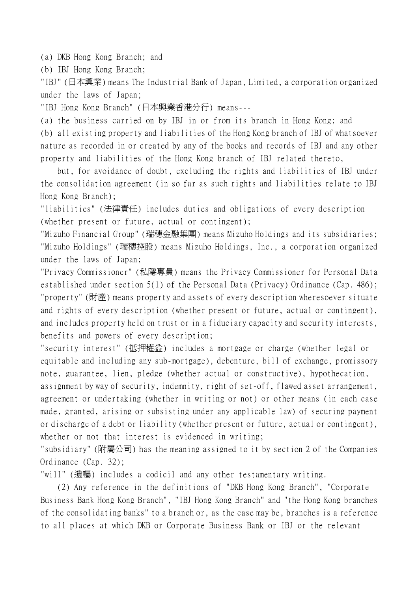(a) DKB Hong Kong Branch; and

(b) IBJ Hong Kong Branch;

"IBJ" (日本興業) means The Industrial Bank of Japan, Limited, a corporation organized under the laws of Japan;

"IBJ Hong Kong Branch" (日本興業香港分行) means---

(a) the business carried on by IBJ in or from its branch in Hong Kong; and

(b) all existing property and liabilities of the Hong Kong branch of IBJ of whatsoever nature as recorded in or created by any of the books and records of IBJ and any other property and liabilities of the Hong Kong branch of IBJ related thereto,

but, for avoidance of doubt, excluding the rights and liabilities of IBJ under the consolidation agreement (in so far as such rights and liabilities relate to IBJ Hong Kong Branch);

"liabilities" (法律責任) includes duties and obligations of every description (whether present or future, actual or contingent);

"Mizuho Financial Group" (瑞穗金融集團) means Mizuho Holdings and its subsidiaries; "Mizuho Holdings" (瑞穗控股) means Mizuho Holdings, Inc., a corporation organized under the laws of Japan;

"Privacy Commissioner" (私隱專員) means the Privacy Commissioner for Personal Data established under section 5(1) of the Personal Data (Privacy) Ordinance (Cap. 486); "property" (財產) means property and assets of every description wheresoever situate and rights of every description (whether present or future, actual or contingent), and includes property held on trust or in a fiduciary capacity and security interests, benefits and powers of every description;

"security interest" (抵押權益) includes a mortgage or charge (whether legal or equitable and including any sub-mortgage), debenture, bill of exchange, promissory note, guarantee, lien, pledge (whether actual or constructive), hypothecation, assignment by way of security, indemnity, right of set-off, flawed asset arrangement, agreement or undertaking (whether in writing or not) or other means (in each case made, granted, arising or subsisting under any applicable law) of securing payment or discharge of a debt or liability (whether present or future, actual or contingent), whether or not that interest is evidenced in writing;

"subsidiary" (附屬公司) has the meaning assigned to it by section 2 of the Companies Ordinance (Cap. 32);

"will" (遺囑) includes a codicil and any other testamentary writing.

(2) Any reference in the definitions of "DKB Hong Kong Branch", "Corporate Business Bank Hong Kong Branch", "IBJ Hong Kong Branch" and "the Hong Kong branches of the consolidating banks" to a branch or, as the case may be, branches is a reference to all places at which DKB or Corporate Business Bank or IBJ or the relevant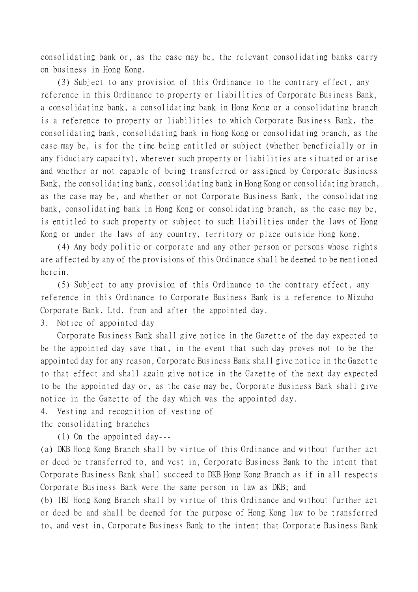consolidating bank or, as the case may be, the relevant consolidating banks carry on business in Hong Kong.

(3) Subject to any provision of this Ordinance to the contrary effect, any reference in this Ordinance to property or liabilities of Corporate Business Bank, a consolidating bank, a consolidating bank in Hong Kong or a consolidating branch is a reference to property or liabilities to which Corporate Business Bank, the consolidating bank, consolidating bank in Hong Kong or consolidating branch, as the case may be, is for the time being entitled or subject (whether beneficially or in any fiduciary capacity), wherever such property or liabilities are situated or arise and whether or not capable of being transferred or assigned by Corporate Business Bank, the consolidating bank, consolidating bank in Hong Kong or consolidating branch, as the case may be, and whether or not Corporate Business Bank, the consolidating bank, consolidating bank in Hong Kong or consolidating branch, as the case may be, is entitled to such property or subject to such liabilities under the laws of Hong Kong or under the laws of any country, territory or place outside Hong Kong.

(4) Any body politic or corporate and any other person or persons whose rights are affected by any of the provisions of this Ordinance shall be deemed to be mentioned herein.

(5) Subject to any provision of this Ordinance to the contrary effect, any reference in this Ordinance to Corporate Business Bank is a reference to Mizuho Corporate Bank, Ltd. from and after the appointed day.

3. Notice of appointed day

Corporate Business Bank shall give notice in the Gazette of the day expected to be the appointed day save that, in the event that such day proves not to be the appointed day for any reason, Corporate Business Bank shall give notice in the Gazette to that effect and shall again give notice in the Gazette of the next day expected to be the appointed day or, as the case may be, Corporate Business Bank shall give notice in the Gazette of the day which was the appointed day.

4. Vesting and recognition of vesting of the consolidating branches

(1) On the appointed day---

(a) DKB Hong Kong Branch shall by virtue of this Ordinance and without further act or deed be transferred to, and vest in, Corporate Business Bank to the intent that Corporate Business Bank shall succeed to DKB Hong Kong Branch as if in all respects Corporate Business Bank were the same person in law as DKB; and

(b) IBJ Hong Kong Branch shall by virtue of this Ordinance and without further act or deed be and shall be deemed for the purpose of Hong Kong law to be transferred to, and vest in, Corporate Business Bank to the intent that Corporate Business Bank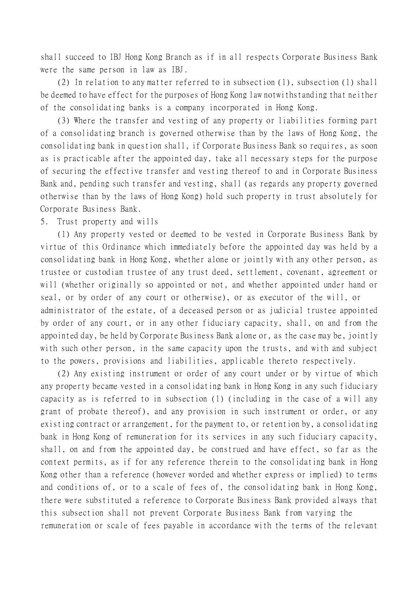shall succeed to IBJ Hong Kong Branch as if in all respects Corporate Business Bank were the same person in law as IBJ.

(2) In relation to any matter referred to in subsection (1), subsection (1) shall be deemed to have effect for the purposes of Hong Kong law notwithstanding that neither of the consolidating banks is a company incorporated in Hong Kong.

(3) Where the transfer and vesting of any property or liabilities forming part of a consolidating branch is governed otherwise than by the laws of Hong Kong, the consolidating bank in question shall, if Corporate Business Bank so requires, as soon as is practicable after the appointed day, take all necessary steps for the purpose of securing the effective transfer and vesting thereof to and in Corporate Business Bank and, pending such transfer and vesting, shall (as regards any property governed otherwise than by the laws of Hong Kong) hold such property in trust absolutely for Corporate Business Bank.

#### 5. Trust property and wills

(1) Any property vested or deemed to be vested in Corporate Business Bank by virtue of this Ordinance which immediately before the appointed day was held by a consolidating bank in Hong Kong, whether alone or jointly with any other person, as trustee or custodian trustee of any trust deed, settlement, covenant, agreement or will (whether originally so appointed or not, and whether appointed under hand or seal, or by order of any court or otherwise), or as executor of the will, or administrator of the estate, of a deceased person or as judicial trustee appointed by order of any court, or in any other fiduciary capacity, shall, on and from the appointed day, be held by Corporate Business Bank alone or, as the case may be, jointly with such other person, in the same capacity upon the trusts, and with and subject to the powers, provisions and liabilities, applicable thereto respectively.

(2) Any existing instrument or order of any court under or by virtue of which any property became vested in a consolidating bank in Hong Kong in any such fiduciary capacity as is referred to in subsection (1) (including in the case of a will any grant of probate thereof), and any provision in such instrument or order, or any existing contract or arrangement, for the payment to, or retention by, a consolidating bank in Hong Kong of remuneration for its services in any such fiduciary capacity, shall, on and from the appointed day, be construed and have effect, so far as the context permits, as if for any reference therein to the consolidating bank in Hong Kong other than a reference (however worded and whether express or implied) to terms and conditions of, or to a scale of fees of, the consolidating bank in Hong Kong, there were substituted a reference to Corporate Business Bank provided always that this subsection shall not prevent Corporate Business Bank from varying the remuneration or scale of fees payable in accordance with the terms of the relevant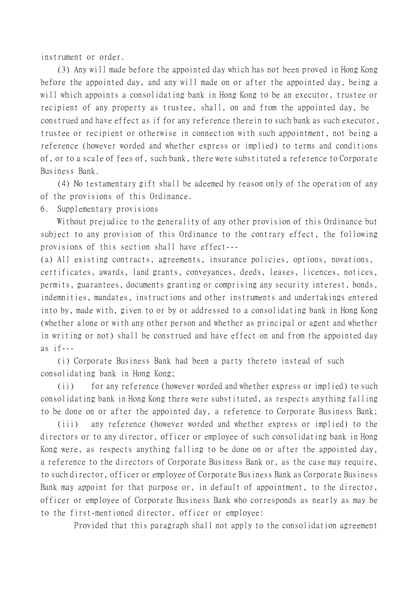instrument or order.

(3) Any will made before the appointed day which has not been proved in Hong Kong before the appointed day, and any will made on or after the appointed day, being a will which appoints a consolidating bank in Hong Kong to be an executor, trustee or recipient of any property as trustee, shall, on and from the appointed day, be construed and have effect as if for any reference therein to such bank as such executor, trustee or recipient or otherwise in connection with such appointment, not being a reference (however worded and whether express or implied) to terms and conditions of, or to a scale of fees of, such bank, there were substituted a reference to Corporate Business Bank.

(4) No testamentary gift shall be adeemed by reason only of the operation of any of the provisions of this Ordinance.

6. Supplementary provisions

Without prejudice to the generality of any other provision of this Ordinance but subject to any provision of this Ordinance to the contrary effect, the following provisions of this section shall have effect---

(a) All existing contracts, agreements, insurance policies, options, novations, certificates, awards, land grants, conveyances, deeds, leases, licences, notices, permits, guarantees, documents granting or comprising any security interest, bonds, indemnities, mandates, instructions and other instruments and undertakings entered into by, made with, given to or by or addressed to a consolidating bank in Hong Kong (whether alone or with any other person and whether as principal or agent and whether in writing or not) shall be construed and have effect on and from the appointed day as  $if---$ 

(i) Corporate Business Bank had been a party thereto instead of such consolidating bank in Hong Kong;

(ii) for any reference (however worded and whether express or implied) to such consolidating bank in Hong Kong there were substituted, as respects anything falling to be done on or after the appointed day, a reference to Corporate Business Bank;

(iii) any reference (however worded and whether express or implied) to the directors or to any director, officer or employee of such consolidating bank in Hong Kong were, as respects anything falling to be done on or after the appointed day, a reference to the directors of Corporate Business Bank or, as the case may require, to such director, officer or employee of Corporate Business Bank as Corporate Business Bank may appoint for that purpose or, in default of appointment, to the director, officer or employee of Corporate Business Bank who corresponds as nearly as may be to the first-mentioned director, officer or employee:

Provided that this paragraph shall not apply to the consolidation agreement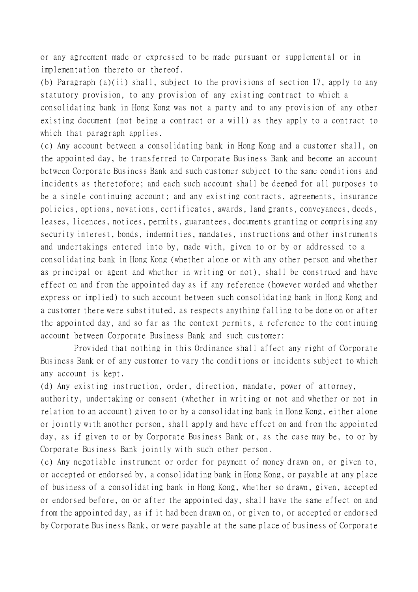or any agreement made or expressed to be made pursuant or supplemental or in implementation thereto or thereof.

(b) Paragraph (a)(ii) shall, subject to the provisions of section 17, apply to any statutory provision, to any provision of any existing contract to which a consolidating bank in Hong Kong was not a party and to any provision of any other existing document (not being a contract or a will) as they apply to a contract to which that paragraph applies.

(c) Any account between a consolidating bank in Hong Kong and a customer shall, on the appointed day, be transferred to Corporate Business Bank and become an account between Corporate Business Bank and such customer subject to the same conditions and incidents as theretofore; and each such account shall be deemed for all purposes to be a single continuing account; and any existing contracts, agreements, insurance policies, options, novations, certificates, awards, land grants, conveyances, deeds, leases, licences, notices, permits, guarantees, documents granting or comprising any security interest, bonds, indemnities, mandates, instructions and other instruments and undertakings entered into by, made with, given to or by or addressed to a consolidating bank in Hong Kong (whether alone or with any other person and whether as principal or agent and whether in writing or not), shall be construed and have effect on and from the appointed day as if any reference (however worded and whether express or implied) to such account between such consolidating bank in Hong Kong and a customer there were substituted, as respects anything falling to be done on or after the appointed day, and so far as the context permits, a reference to the continuing account between Corporate Business Bank and such customer:

Provided that nothing in this Ordinance shall affect any right of Corporate Business Bank or of any customer to vary the conditions or incidents subject to which any account is kept.

(d) Any existing instruction, order, direction, mandate, power of attorney,

authority, undertaking or consent (whether in writing or not and whether or not in relation to an account) given to or by a consolidating bank in Hong Kong, either alone or jointly with another person, shall apply and have effect on and from the appointed day, as if given to or by Corporate Business Bank or, as the case may be, to or by Corporate Business Bank jointly with such other person.

(e) Any negotiable instrument or order for payment of money drawn on, or given to, or accepted or endorsed by, a consolidating bank in Hong Kong, or payable at any place of business of a consolidating bank in Hong Kong, whether so drawn, given, accepted or endorsed before, on or after the appointed day, shall have the same effect on and from the appointed day, as if it had been drawn on, or given to, or accepted or endorsed by Corporate Business Bank, or were payable at the same place of business of Corporate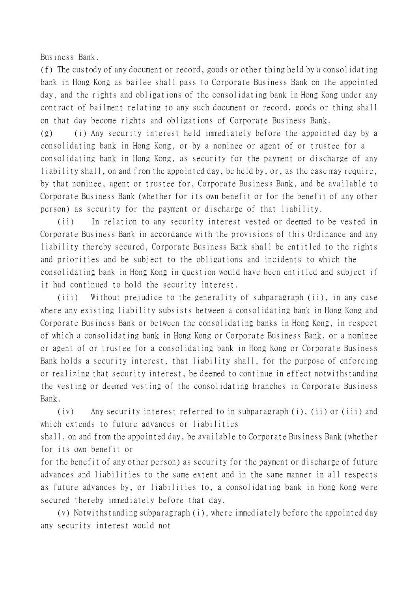Business Bank.

(f) The custody of any document or record, goods or other thing held by a consolidating bank in Hong Kong as bailee shall pass to Corporate Business Bank on the appointed day, and the rights and obligations of the consolidating bank in Hong Kong under any contract of bailment relating to any such document or record, goods or thing shall on that day become rights and obligations of Corporate Business Bank.

(g) (i) Any security interest held immediately before the appointed day by a consolidating bank in Hong Kong, or by a nominee or agent of or trustee for a consolidating bank in Hong Kong, as security for the payment or discharge of any liability shall, on and from the appointed day, be held by, or, as the case may require, by that nominee, agent or trustee for, Corporate Business Bank, and be available to Corporate Business Bank (whether for its own benefit or for the benefit of any other person) as security for the payment or discharge of that liability.

(ii) In relation to any security interest vested or deemed to be vested in Corporate Business Bank in accordance with the provisions of this Ordinance and any liability thereby secured, Corporate Business Bank shall be entitled to the rights and priorities and be subject to the obligations and incidents to which the consolidating bank in Hong Kong in question would have been entitled and subject if it had continued to hold the security interest.

(iii) Without prejudice to the generality of subparagraph (ii), in any case where any existing liability subsists between a consolidating bank in Hong Kong and Corporate Business Bank or between the consolidating banks in Hong Kong, in respect of which a consolidating bank in Hong Kong or Corporate Business Bank, or a nominee or agent of or trustee for a consolidating bank in Hong Kong or Corporate Business Bank holds a security interest, that liability shall, for the purpose of enforcing or realizing that security interest, be deemed to continue in effect notwithstanding the vesting or deemed vesting of the consolidating branches in Corporate Business Bank.

(iv) Any security interest referred to in subparagraph (i), (ii) or (iii) and which extends to future advances or liabilities

shall, on and from the appointed day, be available to Corporate Business Bank (whether for its own benefit or

for the benefit of any other person) as security for the payment or discharge of future advances and liabilities to the same extent and in the same manner in all respects as future advances by, or liabilities to, a consolidating bank in Hong Kong were secured thereby immediately before that day.

(v) Notwithstanding subparagraph (i), where immediately before the appointed day any security interest would not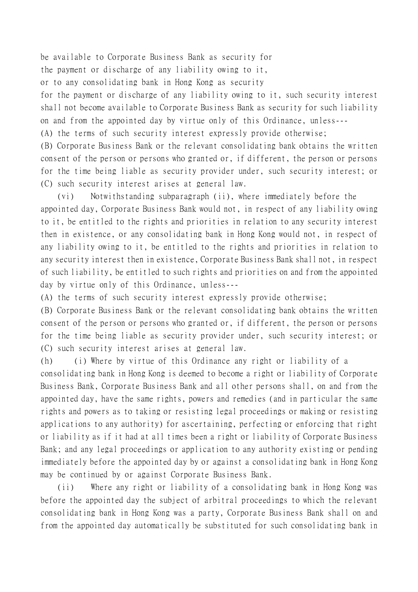be available to Corporate Business Bank as security for

the payment or discharge of any liability owing to it,

or to any consolidating bank in Hong Kong as security

for the payment or discharge of any liability owing to it, such security interest shall not become available to Corporate Business Bank as security for such liability on and from the appointed day by virtue only of this Ordinance, unless---

(A) the terms of such security interest expressly provide otherwise;

(B) Corporate Business Bank or the relevant consolidating bank obtains the written consent of the person or persons who granted or, if different, the person or persons for the time being liable as security provider under, such security interest; or (C) such security interest arises at general law.

(vi) Notwithstanding subparagraph (ii), where immediately before the appointed day, Corporate Business Bank would not, in respect of any liability owing to it, be entitled to the rights and priorities in relation to any security interest then in existence, or any consolidating bank in Hong Kong would not, in respect of any liability owing to it, be entitled to the rights and priorities in relation to any security interest then in existence, Corporate Business Bank shall not, in respect of such liability, be entitled to such rights and priorities on and from the appointed day by virtue only of this Ordinance, unless---

(A) the terms of such security interest expressly provide otherwise;

(B) Corporate Business Bank or the relevant consolidating bank obtains the written consent of the person or persons who granted or, if different, the person or persons for the time being liable as security provider under, such security interest; or (C) such security interest arises at general law.

(h) (i) Where by virtue of this Ordinance any right or liability of a

consolidating bank in Hong Kong is deemed to become a right or liability of Corporate Business Bank, Corporate Business Bank and all other persons shall, on and from the appointed day, have the same rights, powers and remedies (and in particular the same rights and powers as to taking or resisting legal proceedings or making or resisting applications to any authority) for ascertaining, perfecting or enforcing that right or liability as if it had at all times been a right or liability of Corporate Business Bank; and any legal proceedings or application to any authority existing or pending immediately before the appointed day by or against a consolidating bank in Hong Kong may be continued by or against Corporate Business Bank.

(ii) Where any right or liability of a consolidating bank in Hong Kong was before the appointed day the subject of arbitral proceedings to which the relevant consolidating bank in Hong Kong was a party, Corporate Business Bank shall on and from the appointed day automatically be substituted for such consolidating bank in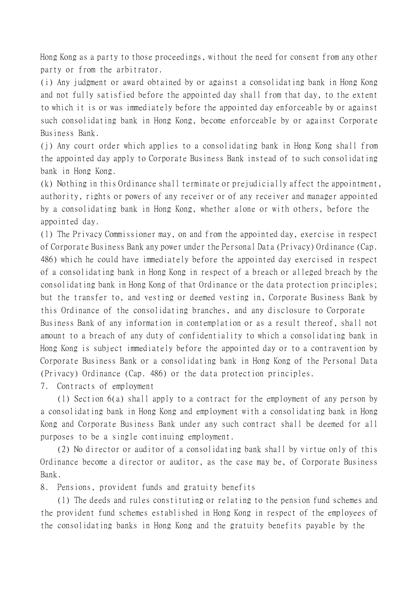Hong Kong as a party to those proceedings, without the need for consent from any other party or from the arbitrator.

(i) Any judgment or award obtained by or against a consolidating bank in Hong Kong and not fully satisfied before the appointed day shall from that day, to the extent to which it is or was immediately before the appointed day enforceable by or against such consolidating bank in Hong Kong, become enforceable by or against Corporate Business Bank.

(j) Any court order which applies to a consolidating bank in Hong Kong shall from the appointed day apply to Corporate Business Bank instead of to such consolidating bank in Hong Kong.

(k) Nothing in this Ordinance shall terminate or prejudicially affect the appointment, authority, rights or powers of any receiver or of any receiver and manager appointed by a consolidating bank in Hong Kong, whether alone or with others, before the appointed day.

(l) The Privacy Commissioner may, on and from the appointed day, exercise in respect of Corporate Business Bank any power under the Personal Data (Privacy) Ordinance (Cap. 486) which he could have immediately before the appointed day exercised in respect of a consolidating bank in Hong Kong in respect of a breach or alleged breach by the consolidating bank in Hong Kong of that Ordinance or the data protection principles; but the transfer to, and vesting or deemed vesting in, Corporate Business Bank by this Ordinance of the consolidating branches, and any disclosure to Corporate Business Bank of any information in contemplation or as a result thereof, shall not amount to a breach of any duty of confidentiality to which a consolidating bank in Hong Kong is subject immediately before the appointed day or to a contravention by Corporate Business Bank or a consolidating bank in Hong Kong of the Personal Data (Privacy) Ordinance (Cap. 486) or the data protection principles.

7. Contracts of employment

(1) Section 6(a) shall apply to a contract for the employment of any person by a consolidating bank in Hong Kong and employment with a consolidating bank in Hong Kong and Corporate Business Bank under any such contract shall be deemed for all purposes to be a single continuing employment.

(2) No director or auditor of a consolidating bank shall by virtue only of this Ordinance become a director or auditor, as the case may be, of Corporate Business Bank.

8. Pensions, provident funds and gratuity benefits

(1) The deeds and rules constituting or relating to the pension fund schemes and the provident fund schemes established in Hong Kong in respect of the employees of the consolidating banks in Hong Kong and the gratuity benefits payable by the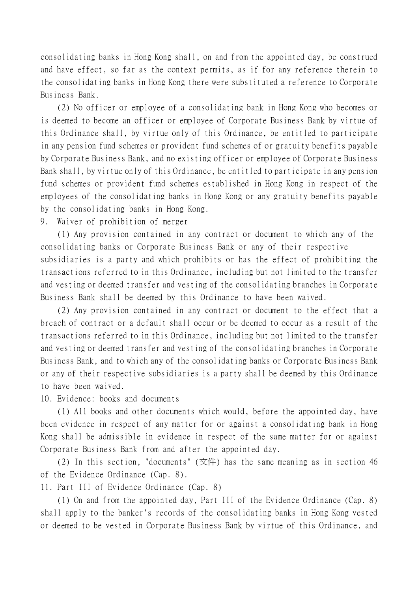consolidating banks in Hong Kong shall, on and from the appointed day, be construed and have effect, so far as the context permits, as if for any reference therein to the consolidating banks in Hong Kong there were substituted a reference to Corporate Business Bank.

(2) No officer or employee of a consolidating bank in Hong Kong who becomes or is deemed to become an officer or employee of Corporate Business Bank by virtue of this Ordinance shall, by virtue only of this Ordinance, be entitled to participate in any pension fund schemes or provident fund schemes of or gratuity benefits payable by Corporate Business Bank, and no existing officer or employee of Corporate Business Bank shall, by virtue only of this Ordinance, be entitled to participate in any pension fund schemes or provident fund schemes established in Hong Kong in respect of the employees of the consolidating banks in Hong Kong or any gratuity benefits payable by the consolidating banks in Hong Kong.

9. Waiver of prohibition of merger

(1) Any provision contained in any contract or document to which any of the consolidating banks or Corporate Business Bank or any of their respective subsidiaries is a party and which prohibits or has the effect of prohibiting the transactions referred to in this Ordinance, including but not limited to the transfer and vesting or deemed transfer and vesting of the consolidating branches in Corporate Business Bank shall be deemed by this Ordinance to have been waived.

(2) Any provision contained in any contract or document to the effect that a breach of contract or a default shall occur or be deemed to occur as a result of the transactions referred to in this Ordinance, including but not limited to the transfer and vesting or deemed transfer and vesting of the consolidating branches in Corporate Business Bank, and to which any of the consolidating banks or Corporate Business Bank or any of their respective subsidiaries is a party shall be deemed by this Ordinance to have been waived.

10. Evidence: books and documents

(1) All books and other documents which would, before the appointed day, have been evidence in respect of any matter for or against a consolidating bank in Hong Kong shall be admissible in evidence in respect of the same matter for or against Corporate Business Bank from and after the appointed day.

(2) In this section, "documents" (文件) has the same meaning as in section 46 of the Evidence Ordinance (Cap. 8).

11. Part III of Evidence Ordinance (Cap. 8)

(1) On and from the appointed day, Part III of the Evidence Ordinance (Cap. 8) shall apply to the banker's records of the consolidating banks in Hong Kong vested or deemed to be vested in Corporate Business Bank by virtue of this Ordinance, and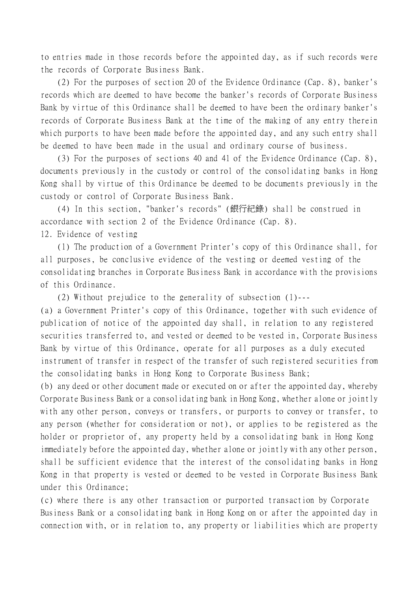to entries made in those records before the appointed day, as if such records were the records of Corporate Business Bank.

(2) For the purposes of section 20 of the Evidence Ordinance (Cap. 8), banker's records which are deemed to have become the banker's records of Corporate Business Bank by virtue of this Ordinance shall be deemed to have been the ordinary banker's records of Corporate Business Bank at the time of the making of any entry therein which purports to have been made before the appointed day, and any such entry shall be deemed to have been made in the usual and ordinary course of business.

(3) For the purposes of sections 40 and 41 of the Evidence Ordinance (Cap. 8), documents previously in the custody or control of the consolidating banks in Hong Kong shall by virtue of this Ordinance be deemed to be documents previously in the custody or control of Corporate Business Bank.

(4) In this section, "banker's records" (銀行紀錄) shall be construed in accordance with section 2 of the Evidence Ordinance (Cap. 8).

12. Evidence of vesting

(1) The production of a Government Printer's copy of this Ordinance shall, for all purposes, be conclusive evidence of the vesting or deemed vesting of the consolidating branches in Corporate Business Bank in accordance with the provisions of this Ordinance.

(2) Without prejudice to the generality of subsection (1)---

(a) a Government Printer's copy of this Ordinance, together with such evidence of publication of notice of the appointed day shall, in relation to any registered securities transferred to, and vested or deemed to be vested in, Corporate Business Bank by virtue of this Ordinance, operate for all purposes as a duly executed instrument of transfer in respect of the transfer of such registered securities from the consolidating banks in Hong Kong to Corporate Business Bank;

(b) any deed or other document made or executed on or after the appointed day, whereby Corporate Business Bank or a consolidating bank in Hong Kong, whether alone or jointly with any other person, conveys or transfers, or purports to convey or transfer, to any person (whether for consideration or not), or applies to be registered as the holder or proprietor of, any property held by a consolidating bank in Hong Kong immediately before the appointed day, whether alone or jointly with any other person, shall be sufficient evidence that the interest of the consolidating banks in Hong Kong in that property is vested or deemed to be vested in Corporate Business Bank under this Ordinance;

(c) where there is any other transaction or purported transaction by Corporate Business Bank or a consolidating bank in Hong Kong on or after the appointed day in connection with, or in relation to, any property or liabilities which are property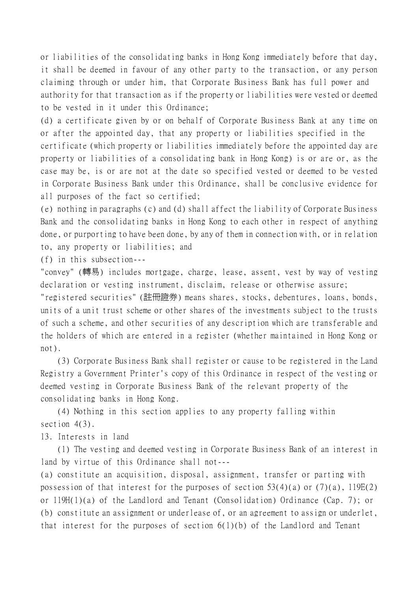or liabilities of the consolidating banks in Hong Kong immediately before that day, it shall be deemed in favour of any other party to the transaction, or any person claiming through or under him, that Corporate Business Bank has full power and authority for that transaction as if the property or liabilities were vested or deemed to be vested in it under this Ordinance;

(d) a certificate given by or on behalf of Corporate Business Bank at any time on or after the appointed day, that any property or liabilities specified in the certificate (which property or liabilities immediately before the appointed day are property or liabilities of a consolidating bank in Hong Kong) is or are or, as the case may be, is or are not at the date so specified vested or deemed to be vested in Corporate Business Bank under this Ordinance, shall be conclusive evidence for all purposes of the fact so certified;

(e) nothing in paragraphs (c) and (d) shall affect the liability of Corporate Business Bank and the consolidating banks in Hong Kong to each other in respect of anything done, or purporting to have been done, by any of them in connection with, or in relation to, any property or liabilities; and

(f) in this subsection---

"convey" (轉易) includes mortgage, charge, lease, assent, vest by way of vesting declaration or vesting instrument, disclaim, release or otherwise assure;

"registered securities" (註冊證券) means shares, stocks, debentures, loans, bonds, units of a unit trust scheme or other shares of the investments subject to the trusts of such a scheme, and other securities of any description which are transferable and the holders of which are entered in a register (whether maintained in Hong Kong or not).

(3) Corporate Business Bank shall register or cause to be registered in the Land Registry a Government Printer's copy of this Ordinance in respect of the vesting or deemed vesting in Corporate Business Bank of the relevant property of the consolidating banks in Hong Kong.

(4) Nothing in this section applies to any property falling within section  $4(3)$ .

13. Interests in land

(1) The vesting and deemed vesting in Corporate Business Bank of an interest in land by virtue of this Ordinance shall not---

(a) constitute an acquisition, disposal, assignment, transfer or parting with possession of that interest for the purposes of section  $53(4)(a)$  or  $(7)(a)$ ,  $119E(2)$ or 119H(1)(a) of the Landlord and Tenant (Consolidation) Ordinance (Cap. 7); or (b) constitute an assignment or underlease of, or an agreement to assign or underlet, that interest for the purposes of section  $6(1)(b)$  of the Landlord and Tenant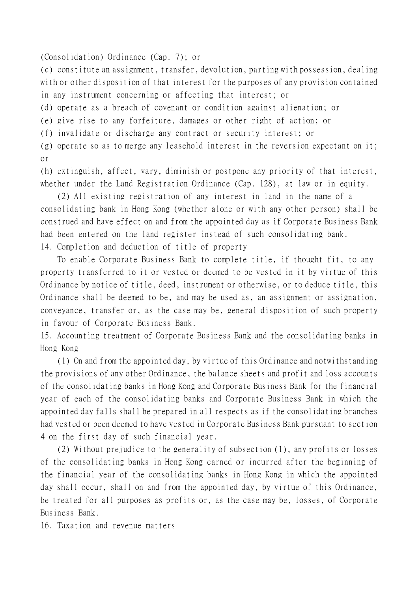(Consolidation) Ordinance (Cap. 7); or

(c) constitute an assignment, transfer, devolution, parting with possession, dealing with or other disposition of that interest for the purposes of any provision contained in any instrument concerning or affecting that interest; or

(d) operate as a breach of covenant or condition against alienation; or

(e) give rise to any forfeiture, damages or other right of action; or

(f) invalidate or discharge any contract or security interest; or

(g) operate so as to merge any leasehold interest in the reversion expectant on it; or

(h) extinguish, affect, vary, diminish or postpone any priority of that interest, whether under the Land Registration Ordinance (Cap. 128), at law or in equity.

(2) All existing registration of any interest in land in the name of a consolidating bank in Hong Kong (whether alone or with any other person) shall be construed and have effect on and from the appointed day as if Corporate Business Bank had been entered on the land register instead of such consolidating bank. 14. Completion and deduction of title of property

To enable Corporate Business Bank to complete title, if thought fit, to any property transferred to it or vested or deemed to be vested in it by virtue of this Ordinance by notice of title, deed, instrument or otherwise, or to deduce title, this Ordinance shall be deemed to be, and may be used as, an assignment or assignation, conveyance, transfer or, as the case may be, general disposition of such property in favour of Corporate Business Bank.

15. Accounting treatment of Corporate Business Bank and the consolidating banks in Hong Kong

(1) On and from the appointed day, by virtue of this Ordinance and notwithstanding the provisions of any other Ordinance, the balance sheets and profit and loss accounts of the consolidating banks in Hong Kong and Corporate Business Bank for the financial year of each of the consolidating banks and Corporate Business Bank in which the appointed day falls shall be prepared in all respects as if the consolidating branches had vested or been deemed to have vested in Corporate Business Bank pursuant to section 4 on the first day of such financial year.

(2) Without prejudice to the generality of subsection (1), any profits or losses of the consolidating banks in Hong Kong earned or incurred after the beginning of the financial year of the consolidating banks in Hong Kong in which the appointed day shall occur, shall on and from the appointed day, by virtue of this Ordinance, be treated for all purposes as profits or, as the case may be, losses, of Corporate Business Bank.

16. Taxation and revenue matters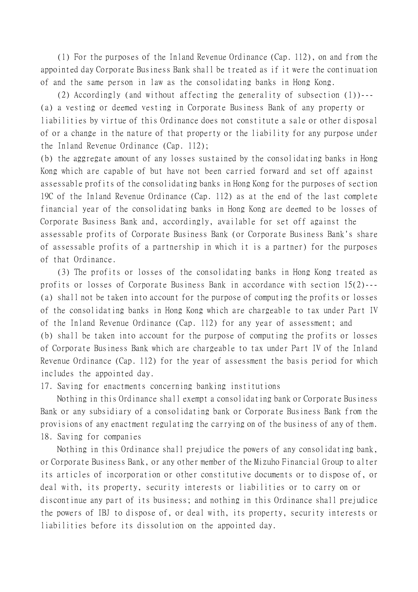(1) For the purposes of the Inland Revenue Ordinance (Cap. 112), on and from the appointed day Corporate Business Bank shall be treated as if it were the continuation of and the same person in law as the consolidating banks in Hong Kong.

(2) Accordingly (and without affecting the generality of subsection (1))--- (a) a vesting or deemed vesting in Corporate Business Bank of any property or liabilities by virtue of this Ordinance does not constitute a sale or other disposal of or a change in the nature of that property or the liability for any purpose under the Inland Revenue Ordinance (Cap. 112);

(b) the aggregate amount of any losses sustained by the consolidating banks in Hong Kong which are capable of but have not been carried forward and set off against assessable profits of the consolidating banks in Hong Kong for the purposes of section 19C of the Inland Revenue Ordinance (Cap. 112) as at the end of the last complete financial year of the consolidating banks in Hong Kong are deemed to be losses of Corporate Business Bank and, accordingly, available for set off against the assessable profits of Corporate Business Bank (or Corporate Business Bank's share of assessable profits of a partnership in which it is a partner) for the purposes of that Ordinance.

(3) The profits or losses of the consolidating banks in Hong Kong treated as profits or losses of Corporate Business Bank in accordance with section 15(2)--- (a) shall not be taken into account for the purpose of computing the profits or losses of the consolidating banks in Hong Kong which are chargeable to tax under Part IV of the Inland Revenue Ordinance (Cap. 112) for any year of assessment; and (b) shall be taken into account for the purpose of computing the profits or losses of Corporate Business Bank which are chargeable to tax under Part IV of the Inland Revenue Ordinance (Cap. 112) for the year of assessment the basis period for which includes the appointed day.

17. Saving for enactments concerning banking institutions

Nothing in this Ordinance shall exempt a consolidating bank or Corporate Business Bank or any subsidiary of a consolidating bank or Corporate Business Bank from the provisions of any enactment regulating the carrying on of the business of any of them. 18. Saving for companies

Nothing in this Ordinance shall prejudice the powers of any consolidating bank, or Corporate Business Bank, or any other member of the Mizuho Financial Group to alter its articles of incorporation or other constitutive documents or to dispose of, or deal with, its property, security interests or liabilities or to carry on or discontinue any part of its business; and nothing in this Ordinance shall prejudice the powers of IBJ to dispose of, or deal with, its property, security interests or liabilities before its dissolution on the appointed day.